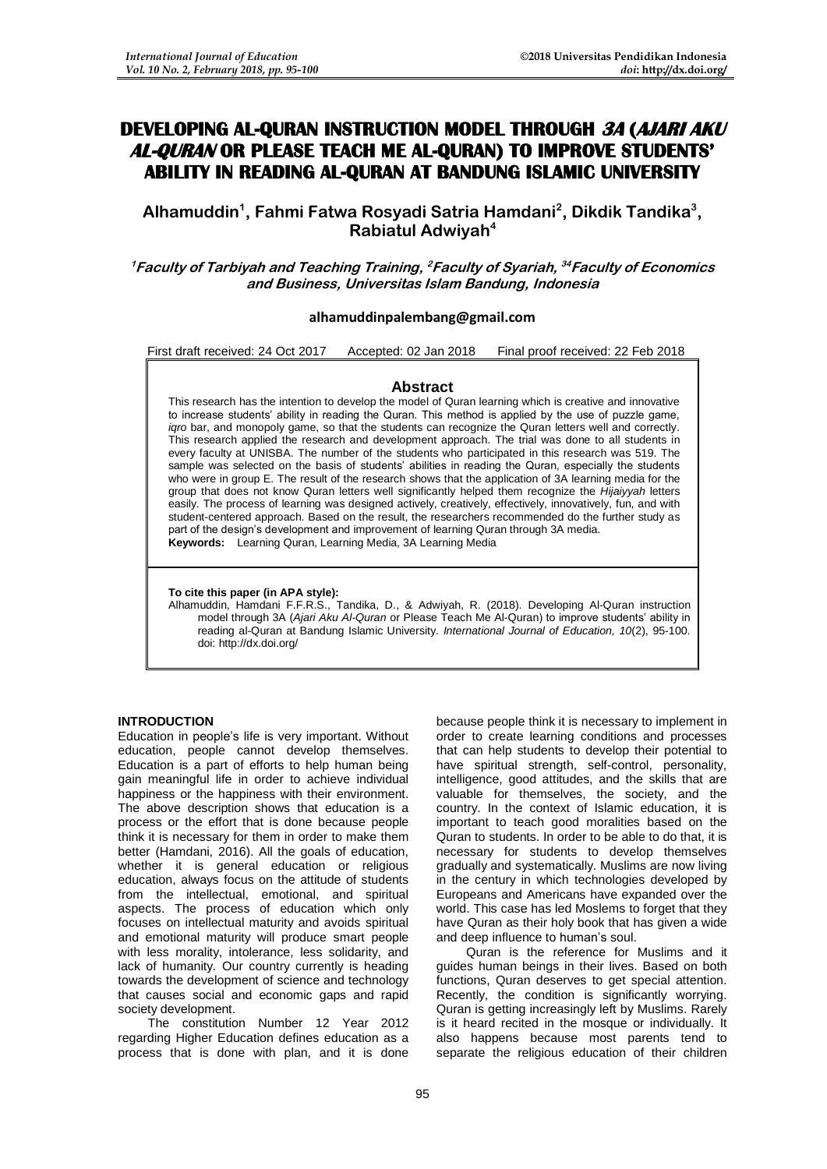# **DEVELOPING AL-QURAN INSTRUCTION MODEL THROUGH 3A (AJARI AKU AL-QURAN OR PLEASE TEACH ME AL-QURAN) TO IMPROVE STUDENTS' ABILITY IN READING AL-QURAN AT BANDUNG ISLAMIC UNIVERSITY**

**Alhamuddin<sup>1</sup> , Fahmi Fatwa Rosyadi Satria Hamdani<sup>2</sup> , Dikdik Tandika<sup>3</sup> , Rabiatul Adwiyah<sup>4</sup>**

**<sup>1</sup>Faculty of Tarbiyah and Teaching Training, <sup>2</sup>Faculty of Syariah, <sup>34</sup>Faculty of Economics and Business, Universitas Islam Bandung, Indonesia**

## **[alhamuddinpalembang@gmail.com](mailto:alhamuddinpalembang@gmail.com)**

First draft received: 24 Oct 2017 Accepted: 02 Jan 2018 Final proof received: 22 Feb 2018

#### **Abstract**

This research has the intention to develop the model of Quran learning which is creative and innovative to increase students' ability in reading the Quran. This method is applied by the use of puzzle game, *igro* bar, and monopoly game, so that the students can recognize the Quran letters well and correctly. This research applied the research and development approach. The trial was done to all students in every faculty at UNISBA. The number of the students who participated in this research was 519. The sample was selected on the basis of students' abilities in reading the Quran, especially the students who were in group E. The result of the research shows that the application of 3A learning media for the group that does not know Quran letters well significantly helped them recognize the *Hijaiyyah* letters easily. The process of learning was designed actively, creatively, effectively, innovatively, fun, and with student-centered approach. Based on the result, the researchers recommended do the further study as part of the design's development and improvement of learning Quran through 3A media. **Keywords:** Learning Quran, Learning Media, 3A Learning Media

**To cite this paper (in APA style):**

Alhamuddin, Hamdani F.F.R.S., Tandika, D., & Adwiyah, R. (2018). Developing Al-Quran instruction model through 3A (*Ajari Aku Al-Quran* or Please Teach Me Al-Quran) to improve students' ability in reading al-Quran at Bandung Islamic University. *International Journal of Education, 10*(2), 95-100. doi: http://dx.doi.org/

## **INTRODUCTION**

Education in people's life is very important. Without education, people cannot develop themselves. Education is a part of efforts to help human being gain meaningful life in order to achieve individual happiness or the happiness with their environment. The above description shows that education is a process or the effort that is done because people think it is necessary for them in order to make them better (Hamdani, 2016). All the goals of education, whether it is general education or religious education, always focus on the attitude of students from the intellectual, emotional, and spiritual aspects. The process of education which only focuses on intellectual maturity and avoids spiritual and emotional maturity will produce smart people with less morality, intolerance, less solidarity, and lack of humanity. Our country currently is heading towards the development of science and technology that causes social and economic gaps and rapid society development.

The constitution Number 12 Year 2012 regarding Higher Education defines education as a process that is done with plan, and it is done because people think it is necessary to implement in order to create learning conditions and processes that can help students to develop their potential to have spiritual strength, self-control, personality, intelligence, good attitudes, and the skills that are valuable for themselves, the society, and the country. In the context of Islamic education, it is important to teach good moralities based on the Quran to students. In order to be able to do that, it is necessary for students to develop themselves gradually and systematically. Muslims are now living in the century in which technologies developed by Europeans and Americans have expanded over the world. This case has led Moslems to forget that they have Quran as their holy book that has given a wide and deep influence to human's soul.

Quran is the reference for Muslims and it guides human beings in their lives. Based on both functions, Quran deserves to get special attention. Recently, the condition is significantly worrying. Quran is getting increasingly left by Muslims. Rarely is it heard recited in the mosque or individually. It also happens because most parents tend to separate the religious education of their children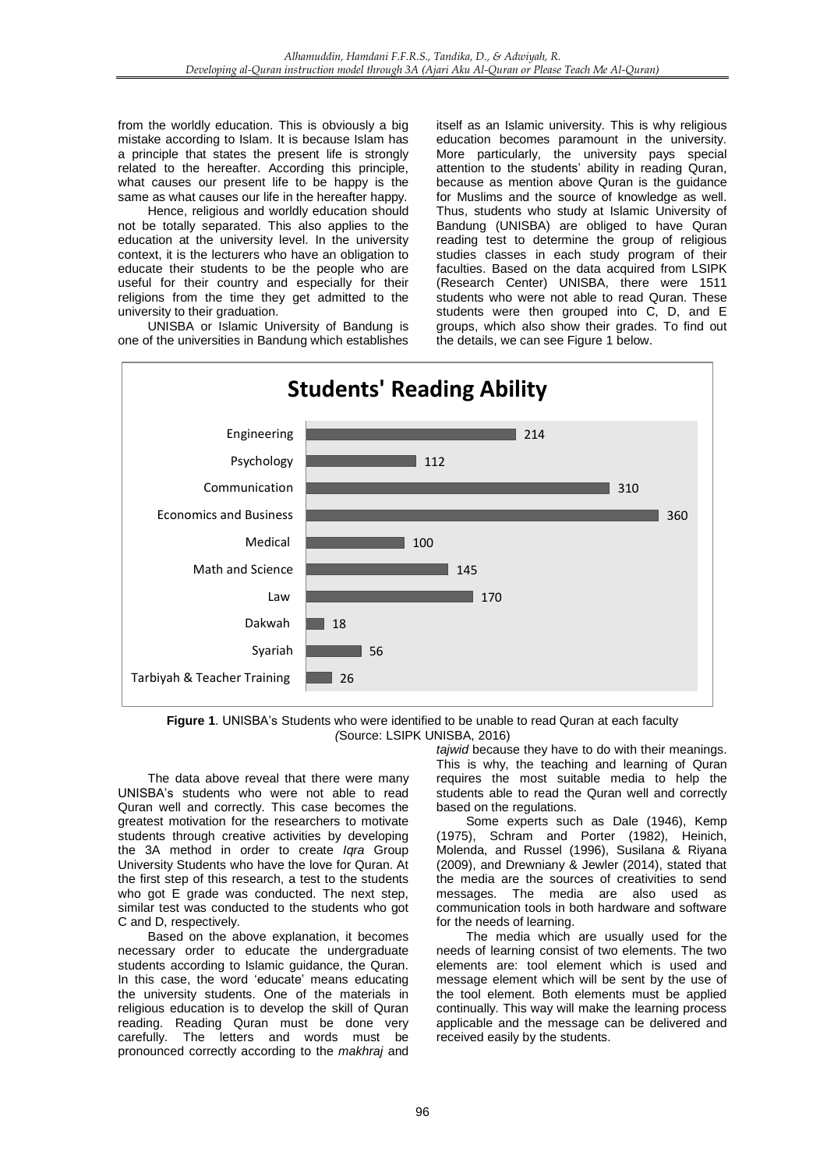from the worldly education. This is obviously a big mistake according to Islam. It is because Islam has a principle that states the present life is strongly related to the hereafter. According this principle, what causes our present life to be happy is the same as what causes our life in the hereafter happy.

Hence, religious and worldly education should not be totally separated. This also applies to the education at the university level. In the university context, it is the lecturers who have an obligation to educate their students to be the people who are useful for their country and especially for their religions from the time they get admitted to the university to their graduation.

UNISBA or Islamic University of Bandung is one of the universities in Bandung which establishes itself as an Islamic university. This is why religious education becomes paramount in the university. More particularly, the university pays special attention to the students' ability in reading Quran, because as mention above Quran is the guidance for Muslims and the source of knowledge as well. Thus, students who study at Islamic University of Bandung (UNISBA) are obliged to have Quran reading test to determine the group of religious studies classes in each study program of their faculties. Based on the data acquired from LSIPK (Research Center) UNISBA, there were 1511 students who were not able to read Quran. These students were then grouped into C, D, and E groups, which also show their grades. To find out the details, we can see Figure 1 below.



**Figure 1**. UNISBA's Students who were identified to be unable to read Quran at each faculty *(*Source: LSIPK UNISBA, 2016)

The data above reveal that there were many UNISBA's students who were not able to read Quran well and correctly. This case becomes the greatest motivation for the researchers to motivate students through creative activities by developing the 3A method in order to create *Iqra* Group University Students who have the love for Quran. At the first step of this research, a test to the students who got E grade was conducted. The next step, similar test was conducted to the students who got C and D, respectively.

Based on the above explanation, it becomes necessary order to educate the undergraduate students according to Islamic guidance, the Quran. In this case, the word 'educate' means educating the university students. One of the materials in religious education is to develop the skill of Quran reading. Reading Quran must be done very carefully. The letters and words must be pronounced correctly according to the *makhraj* and

*tajwid* because they have to do with their meanings. This is why, the teaching and learning of Quran requires the most suitable media to help the students able to read the Quran well and correctly based on the regulations.

Some experts such as Dale (1946), Kemp (1975), Schram and Porter (1982), Heinich, Molenda, and Russel (1996), Susilana & Riyana (2009), and Drewniany & Jewler (2014), stated that the media are the sources of creativities to send messages. The media are also used as communication tools in both hardware and software for the needs of learning.

The media which are usually used for the needs of learning consist of two elements. The two elements are: tool element which is used and message element which will be sent by the use of the tool element. Both elements must be applied continually. This way will make the learning process applicable and the message can be delivered and received easily by the students.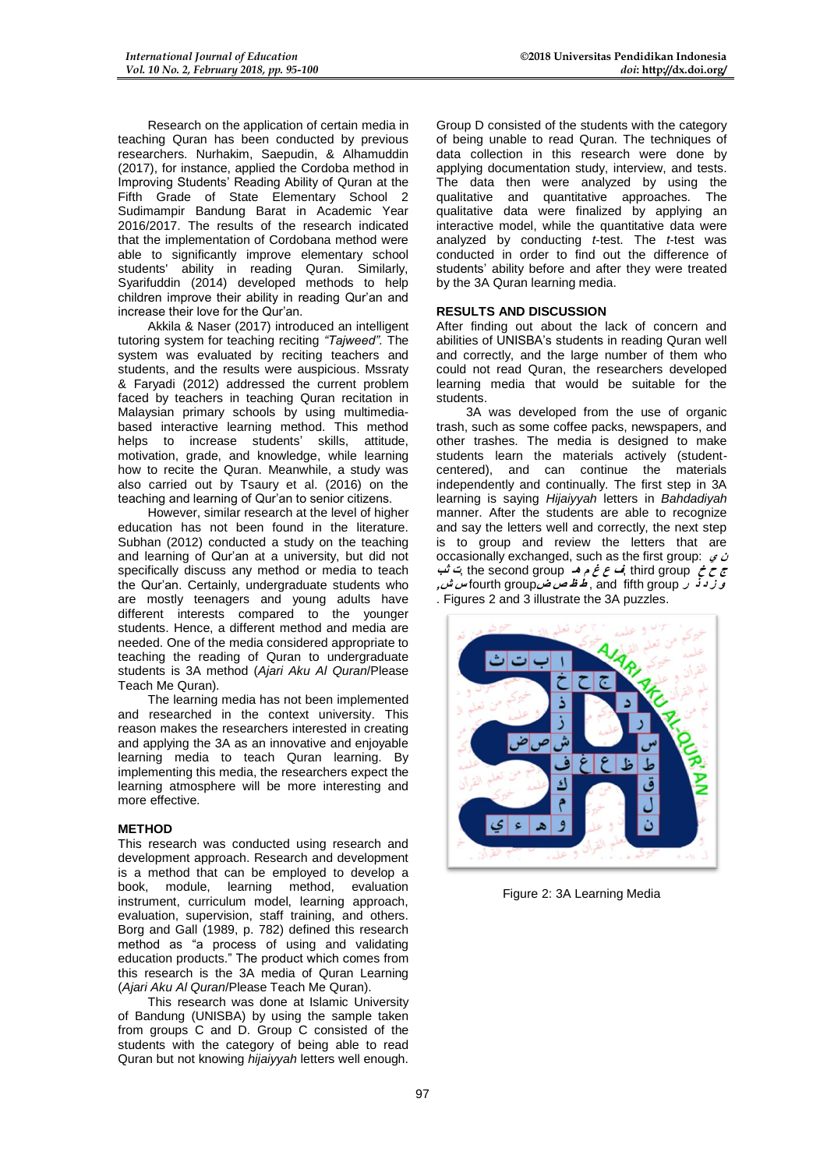Research on the application of certain media in teaching Quran has been conducted by previous researchers. Nurhakim, Saepudin, & Alhamuddin (2017), for instance, applied the Cordoba method in Improving Students' Reading Ability of Quran at the Fifth Grade of State Elementary School 2 Sudimampir Bandung Barat in Academic Year 2016/2017. The results of the research indicated that the implementation of Cordobana method were able to significantly improve elementary school students' ability in reading Quran. Similarly, Syarifuddin (2014) developed methods to help children improve their ability in reading Qur'an and increase their love for the Qur'an.

Akkila & Naser (2017) introduced an intelligent tutoring system for teaching reciting *"Tajweed".* The system was evaluated by reciting teachers and students, and the results were auspicious. Mssraty & Faryadi (2012) addressed the current problem faced by teachers in teaching Quran recitation in Malaysian primary schools by using multimediabased interactive learning method. This method helps to increase students' skills, attitude, motivation, grade, and knowledge, while learning how to recite the Quran. Meanwhile, a study was also carried out by Tsaury et al. (2016) on the teaching and learning of Qur'an to senior citizens.

However, similar research at the level of higher education has not been found in the literature. Subhan (2012) conducted a study on the teaching and learning of Qur'an at a university, but did not specifically discuss any method or media to teach the Qur'an. Certainly, undergraduate students who are mostly teenagers and young adults have different interests compared to the younger students. Hence, a different method and media are needed. One of the media considered appropriate to teaching the reading of Quran to undergraduate students is 3A method (*Ajari Aku Al Quran*/Please Teach Me Quran).

The learning media has not been implemented and researched in the context university. This reason makes the researchers interested in creating and applying the 3A as an innovative and enjoyable learning media to teach Quran learning. By implementing this media, the researchers expect the learning atmosphere will be more interesting and more effective.

# **METHOD**

This research was conducted using research and development approach. Research and development is a method that can be employed to develop a book, module, learning method, evaluation instrument, curriculum model, learning approach, evaluation, supervision, staff training, and others. Borg and Gall (1989, p. 782) defined this research method as "a process of using and validating education products." The product which comes from this research is the 3A media of Quran Learning (*Ajari Aku Al Quran*/Please Teach Me Quran).

This research was done at Islamic University of Bandung (UNISBA) by using the sample taken from groups C and D. Group C consisted of the students with the category of being able to read Quran but not knowing *hijaiyyah* letters well enough.

Group D consisted of the students with the category of being unable to read Quran. The techniques of data collection in this research were done by applying documentation study, interview, and tests. The data then were analyzed by using the qualitative and quantitative approaches. The qualitative data were finalized by applying an interactive model, while the quantitative data were analyzed by conducting *t*-test. The *t*-test was conducted in order to find out the difference of students' ability before and after they were treated by the 3A Quran learning media.

## **RESULTS AND DISCUSSION**

After finding out about the lack of concern and abilities of UNISBA's students in reading Quran well and correctly, and the large number of them who could not read Quran, the researchers developed learning media that would be suitable for the students.

3A was developed from the use of organic trash, such as some coffee packs, newspapers, and other trashes. The media is designed to make students learn the materials actively (studentcentered), and can continue the materials independently and continually. The first step in 3A learning is saying *Hijaiyyah* letters in *Bahdadiyah* manner. After the students are able to recognize and say the letters well and correctly, the next step is to group and review the letters that are occasionally exchanged, such as the first group: **ي ن ج ح خ** group third ,**ف ع غ م هـ** group second the ,**ت ثب و ز د ذ ر** group fifth and , **ط ظ ص ض**group fourth **س ش,** . Figures 2 and 3 illustrate the 3A puzzles.



Figure 2: 3A Learning Media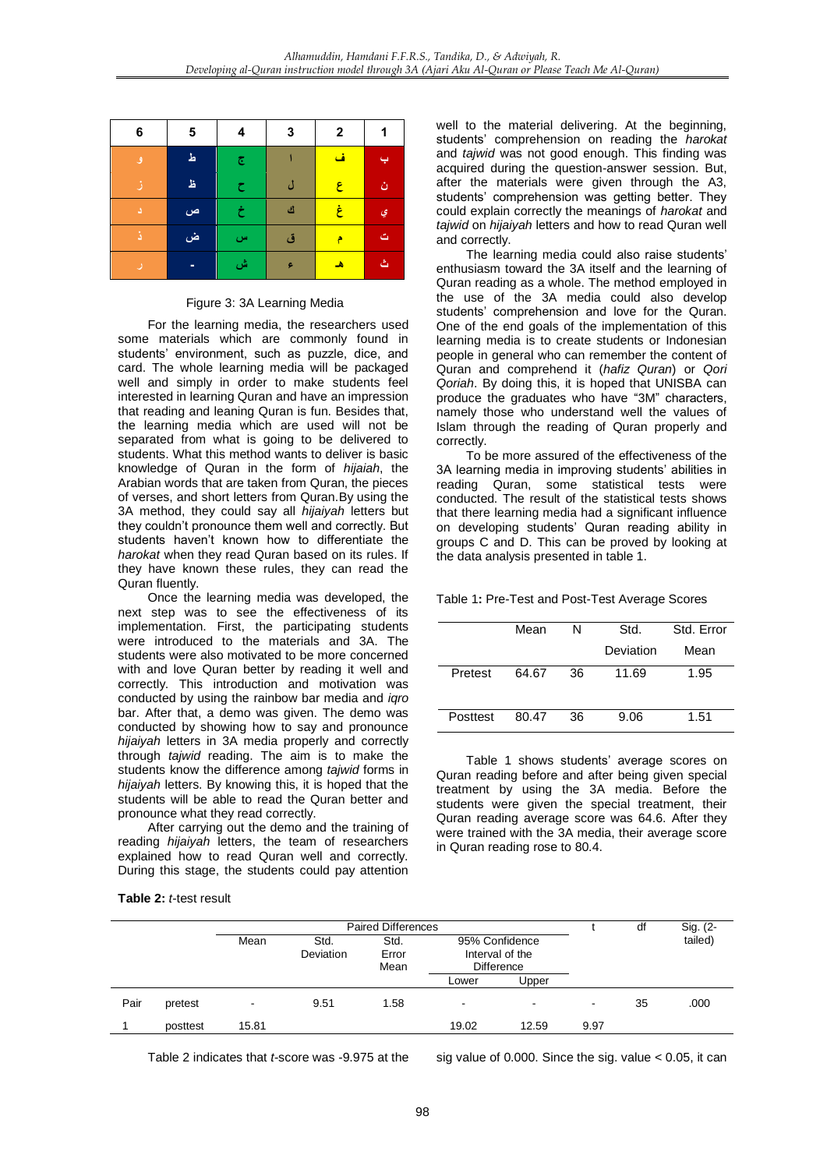| 6 | 5 | 4                       | 3   | $\boldsymbol{2}$ | 1 |
|---|---|-------------------------|-----|------------------|---|
| ٯ | ط | $\overline{\mathbb{C}}$ |     | ف                |   |
| B | 呈 | ح                       | ڑ ، | ع                | ن |
| Δ | ص | خ                       | ك   | غ                | ي |
| ă | ض | س                       | ق   | ۴                | ت |
| u | ٠ | ش                       | ۶   | ھ                | گ |

#### Figure 3: 3A Learning Media

For the learning media, the researchers used some materials which are commonly found in students' environment, such as puzzle, dice, and card. The whole learning media will be packaged well and simply in order to make students feel interested in learning Quran and have an impression that reading and leaning Quran is fun. Besides that, the learning media which are used will not be separated from what is going to be delivered to students. What this method wants to deliver is basic knowledge of Quran in the form of *hijaiah*, the Arabian words that are taken from Quran, the pieces of verses, and short letters from Quran.By using the 3A method, they could say all *hijaiyah* letters but they couldn't pronounce them well and correctly. But students haven't known how to differentiate the *harokat* when they read Quran based on its rules. If they have known these rules, they can read the Quran fluently.

Once the learning media was developed, the next step was to see the effectiveness of its implementation. First, the participating students were introduced to the materials and 3A. The students were also motivated to be more concerned with and love Quran better by reading it well and correctly. This introduction and motivation was conducted by using the rainbow bar media and *iqro* bar. After that, a demo was given. The demo was conducted by showing how to say and pronounce *hijaiyah* letters in 3A media properly and correctly through *tajwid* reading. The aim is to make the students know the difference among *tajwid* forms in *hijaiyah* letters. By knowing this, it is hoped that the students will be able to read the Quran better and pronounce what they read correctly.

After carrying out the demo and the training of reading *hijaiyah* letters, the team of researchers explained how to read Quran well and correctly. During this stage, the students could pay attention

**Table 2:** *t*-test result

well to the material delivering. At the beginning, students' comprehension on reading the *harokat* and *tajwid* was not good enough. This finding was acquired during the question-answer session. But, after the materials were given through the A3, students' comprehension was getting better. They could explain correctly the meanings of *harokat* and *tajwid* on *hijaiyah* letters and how to read Quran well and correctly.

The learning media could also raise students' enthusiasm toward the 3A itself and the learning of Quran reading as a whole. The method employed in the use of the 3A media could also develop students' comprehension and love for the Quran. One of the end goals of the implementation of this learning media is to create students or Indonesian people in general who can remember the content of Quran and comprehend it (*hafiz Quran*) or *Qori Qoriah*. By doing this, it is hoped that UNISBA can produce the graduates who have "3M" characters, namely those who understand well the values of Islam through the reading of Quran properly and correctly.

To be more assured of the effectiveness of the 3A learning media in improving students' abilities in reading Quran, some statistical tests were conducted. The result of the statistical tests shows that there learning media had a significant influence on developing students' Quran reading ability in groups C and D. This can be proved by looking at the data analysis presented in table 1.

Table 1**:** Pre-Test and Post-Test Average Scores

|          | Mean  | N  | Std.      | Std. Error |
|----------|-------|----|-----------|------------|
|          |       |    | Deviation | Mean       |
| Pretest  | 64.67 | 36 | 11.69     | 1.95       |
| Posttest | 80.47 | 36 | 9.06      | 1.51       |
|          |       |    |           |            |

Table 1 shows students' average scores on Quran reading before and after being given special treatment by using the 3A media. Before the students were given the special treatment, their Quran reading average score was 64.6. After they were trained with the 3A media, their average score in Quran reading rose to 80.4.

|      |          | <b>Paired Differences</b> |                   |                       |                                                        |                          |                          | df | Sig. (2- |
|------|----------|---------------------------|-------------------|-----------------------|--------------------------------------------------------|--------------------------|--------------------------|----|----------|
|      |          | Mean                      | Std.<br>Deviation | Std.<br>Error<br>Mean | 95% Confidence<br>Interval of the<br><b>Difference</b> |                          |                          |    | tailed)  |
|      |          |                           |                   |                       | Lower                                                  | Upper                    |                          |    |          |
| Pair | pretest  | -                         | 9.51              | 1.58                  | -                                                      | $\overline{\phantom{a}}$ | $\overline{\phantom{a}}$ | 35 | .000     |
|      | posttest | 15.81                     |                   |                       | 19.02                                                  | 12.59                    | 9.97                     |    |          |

Table 2 indicates that *t*-score was -9.975 at the sig value of 0.000. Since the sig. value < 0.05, it can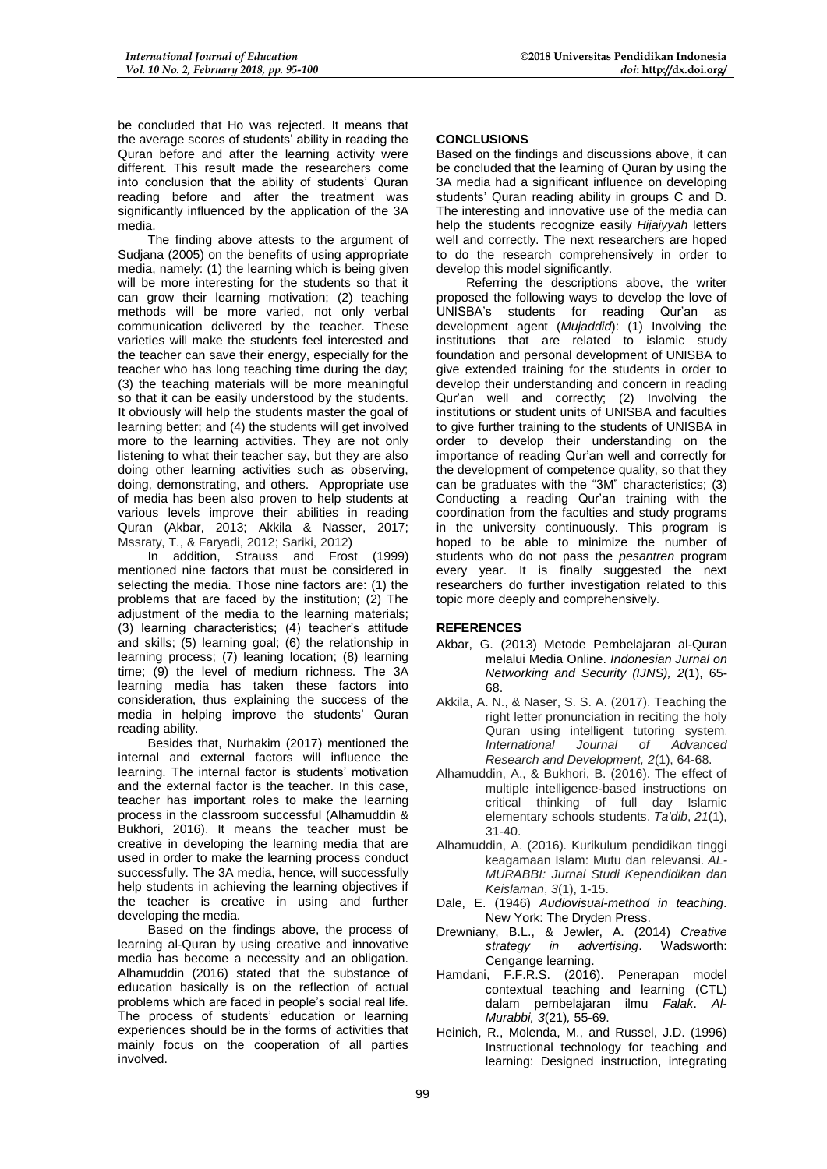be concluded that Ho was rejected. It means that the average scores of students' ability in reading the Quran before and after the learning activity were different. This result made the researchers come into conclusion that the ability of students' Quran reading before and after the treatment was significantly influenced by the application of the 3A media.

The finding above attests to the argument of Sudjana (2005) on the benefits of using appropriate media, namely: (1) the learning which is being given will be more interesting for the students so that it can grow their learning motivation; (2) teaching methods will be more varied, not only verbal communication delivered by the teacher. These varieties will make the students feel interested and the teacher can save their energy, especially for the teacher who has long teaching time during the day; (3) the teaching materials will be more meaningful so that it can be easily understood by the students. It obviously will help the students master the goal of learning better; and (4) the students will get involved more to the learning activities. They are not only listening to what their teacher say, but they are also doing other learning activities such as observing, doing, demonstrating, and others. Appropriate use of media has been also proven to help students at various levels improve their abilities in reading Quran (Akbar, 2013; Akkila & Nasser, 2017; Mssraty, T., & Faryadi, 2012; Sariki, 2012)

In addition, Strauss and Frost (1999) mentioned nine factors that must be considered in selecting the media. Those nine factors are: (1) the problems that are faced by the institution; (2) The adjustment of the media to the learning materials; (3) learning characteristics; (4) teacher's attitude and skills; (5) learning goal; (6) the relationship in learning process; (7) leaning location; (8) learning time; (9) the level of medium richness. The 3A learning media has taken these factors into consideration, thus explaining the success of the media in helping improve the students' Quran reading ability.

Besides that, Nurhakim (2017) mentioned the internal and external factors will influence the learning. The internal factor is students' motivation and the external factor is the teacher. In this case, teacher has important roles to make the learning process in the classroom successful (Alhamuddin & Bukhori, 2016). It means the teacher must be creative in developing the learning media that are used in order to make the learning process conduct successfully. The 3A media, hence, will successfully help students in achieving the learning objectives if the teacher is creative in using and further developing the media.

Based on the findings above, the process of learning al-Quran by using creative and innovative media has become a necessity and an obligation. Alhamuddin (2016) stated that the substance of education basically is on the reflection of actual problems which are faced in people's social real life. The process of students' education or learning experiences should be in the forms of activities that mainly focus on the cooperation of all parties involved.

## **CONCLUSIONS**

Based on the findings and discussions above, it can be concluded that the learning of Quran by using the 3A media had a significant influence on developing students' Quran reading ability in groups C and D. The interesting and innovative use of the media can help the students recognize easily *Hijaiyyah* letters well and correctly. The next researchers are hoped to do the research comprehensively in order to develop this model significantly.

Referring the descriptions above, the writer proposed the following ways to develop the love of UNISBA's students for reading Qur'an as development agent (*Mujaddid*): (1) Involving the institutions that are related to islamic study foundation and personal development of UNISBA to give extended training for the students in order to develop their understanding and concern in reading Qur'an well and correctly; (2) Involving the institutions or student units of UNISBA and faculties to give further training to the students of UNISBA in order to develop their understanding on the importance of reading Qur'an well and correctly for the development of competence quality, so that they can be graduates with the "3M" characteristics; (3) Conducting a reading Qur'an training with the coordination from the faculties and study programs in the university continuously. This program is hoped to be able to minimize the number of students who do not pass the *pesantren* program every year. It is finally suggested the next researchers do further investigation related to this topic more deeply and comprehensively.

# **REFERENCES**

- Akbar, G. (2013) Metode Pembelajaran al-Quran melalui Media Online. *Indonesian Jurnal on Networking and Security (IJNS), 2*(1), 65- 68.
- Akkila, A. N., & Naser, S. S. A. (2017). Teaching the right letter pronunciation in reciting the holy Quran using intelligent tutoring system. *International Journal of Advanced Research and Development, 2*(1), 64-68.
- Alhamuddin, A., & Bukhori, B. (2016). The effect of multiple intelligence-based instructions on critical thinking of full day Islamic elementary schools students. *Ta'dib*, *21*(1), 31-40.
- Alhamuddin, A. (2016). Kurikulum pendidikan tinggi keagamaan Islam: Mutu dan relevansi. *AL-MURABBI: Jurnal Studi Kependidikan dan Keislaman*, *3*(1), 1-15.
- Dale, E. (1946) *Audiovisual-method in teaching*. New York: The Dryden Press.
- Drewniany, B.L., & Jewler, A. (2014) *Creative strategy in advertising*. Wadsworth: Cengange learning.
- Hamdani, F.F.R.S. (2016). Penerapan model contextual teaching and learning (CTL) dalam pembelajaran ilmu *Falak*. *Al-Murabbi, 3*(21)*,* 55-69.
- Heinich, R., Molenda, M., and Russel, J.D. (1996) Instructional technology for teaching and learning: Designed instruction, integrating